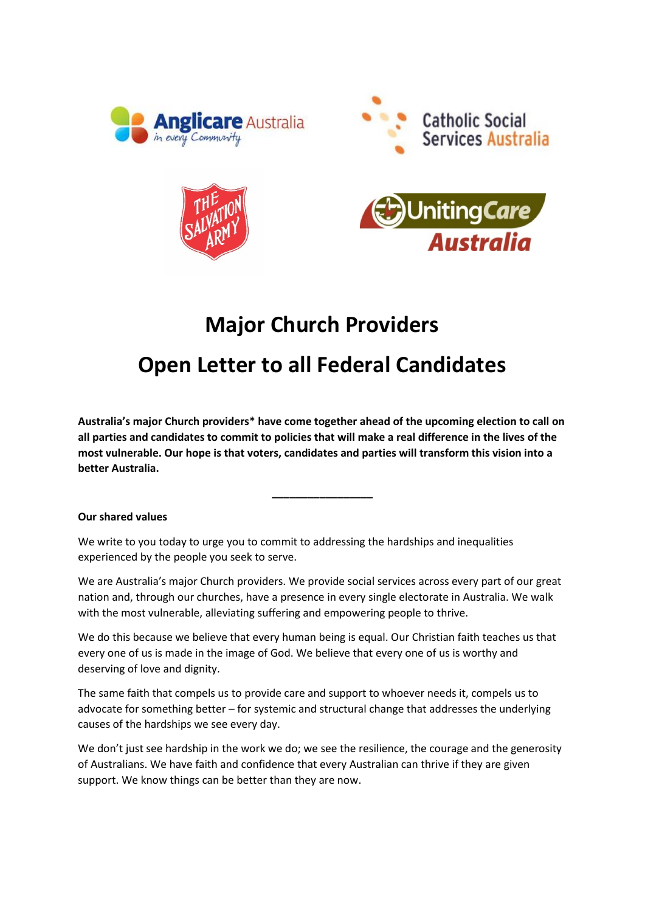







# **Major Church Providers**

# **Open Letter to all Federal Candidates**

**Australia's major Church providers\* have come together ahead of the upcoming election to call on all parties and candidates to commit to policies that will make a real difference in the lives of the most vulnerable. Our hope is that voters, candidates and parties will transform this vision into a better Australia.** 

**\_\_\_\_\_\_\_\_\_\_\_\_\_\_\_\_\_**

## **Our shared values**

We write to you today to urge you to commit to addressing the hardships and inequalities experienced by the people you seek to serve.

We are Australia's major Church providers. We provide social services across every part of our great nation and, through our churches, have a presence in every single electorate in Australia. We walk with the most vulnerable, alleviating suffering and empowering people to thrive.

We do this because we believe that every human being is equal. Our Christian faith teaches us that every one of us is made in the image of God. We believe that every one of us is worthy and deserving of love and dignity.

The same faith that compels us to provide care and support to whoever needs it, compels us to advocate for something better – for systemic and structural change that addresses the underlying causes of the hardships we see every day.

We don't just see hardship in the work we do; we see the resilience, the courage and the generosity of Australians. We have faith and confidence that every Australian can thrive if they are given support. We know things can be better than they are now.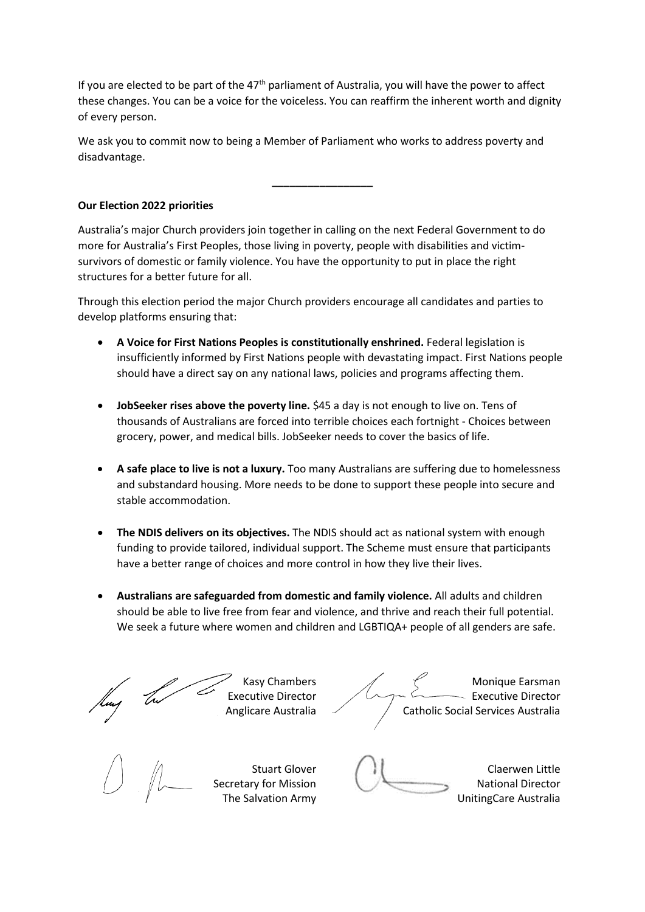If you are elected to be part of the  $47<sup>th</sup>$  parliament of Australia, you will have the power to affect these changes. You can be a voice for the voiceless. You can reaffirm the inherent worth and dignity of every person.

We ask you to commit now to being a Member of Parliament who works to address poverty and disadvantage.

**\_\_\_\_\_\_\_\_\_\_\_\_\_\_\_\_\_**

### **Our Election 2022 priorities**

Australia's major Church providers join together in calling on the next Federal Government to do more for Australia's First Peoples, those living in poverty, people with disabilities and victimsurvivors of domestic or family violence. You have the opportunity to put in place the right structures for a better future for all.

Through this election period the major Church providers encourage all candidates and parties to develop platforms ensuring that:

- **A Voice for First Nations Peoples is constitutionally enshrined.** Federal legislation is insufficiently informed by First Nations people with devastating impact. First Nations people should have a direct say on any national laws, policies and programs affecting them.
- **JobSeeker rises above the poverty line.** \$45 a day is not enough to live on. Tens of thousands of Australians are forced into terrible choices each fortnight - Choices between grocery, power, and medical bills. JobSeeker needs to cover the basics of life.
- **A safe place to live is not a luxury.** Too many Australians are suffering due to homelessness and substandard housing. More needs to be done to support these people into secure and stable accommodation.
- **The NDIS delivers on its objectives.** The NDIS should act as national system with enough funding to provide tailored, individual support. The Scheme must ensure that participants have a better range of choices and more control in how they live their lives.
- **Australians are safeguarded from domestic and family violence.** All adults and children should be able to live free from fear and violence, and thrive and reach their full potential. We seek a future where women and children and LGBTIQA+ people of all genders are safe.

Kasy Chambers Executive Director Anglicare Australia

Monique Earsman - Executive Director Catholic Social Services Australia

Stuart Glover Secretary for Mission The Salvation Army

Claerwen Little National Director UnitingCare Australia